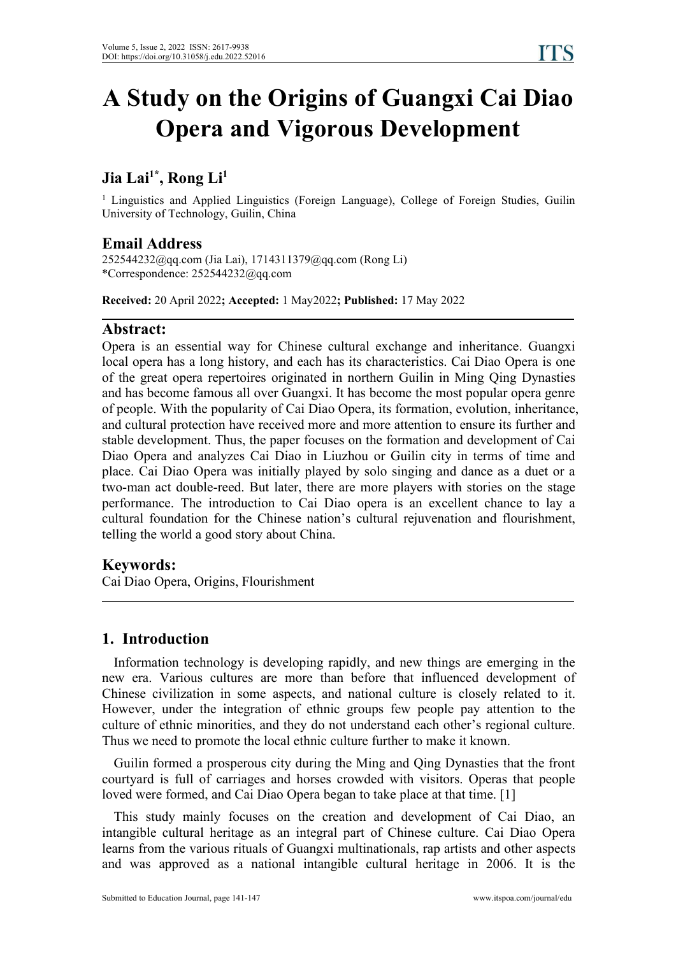# **A Study on the Origins of Guangxi Cai Diao Opera and Vigorous Development**

# **Jia Lai1\* , Rong Li<sup>1</sup>**

<sup>1</sup> Linguistics and Applied Linguistics (Foreign Language), College of Foreign Studies, Guilin University of Technology, Guilin, China

# **Email Address**

252544232@qq.com (Jia Lai), 1714311379@qq.com (Rong Li) \*Correspondence: 252544232@qq.com

**Received:** 20 April 2022**; Accepted:** 1 May2022**; Published:** 17 May 2022

# **Abstract:**

Opera is an essential way for Chinese cultural exchange and inheritance. Guangxi local opera has a long history, and each has its characteristics. Cai Diao Opera is one of the great opera repertoires originated in northern Guilin in Ming Qing Dynasties and has become famous all over Guangxi. It has become the most popular opera genre of people. With the popularity of Cai Diao Opera, its formation, evolution, inheritance, and cultural protection have received more and more attention to ensure its further and stable development. Thus, the paper focuses on the formation and development of Cai Diao Opera and analyzes Cai Diao in Liuzhou or Guilin city in terms of time and place. Cai Diao Opera was initially played by solo singing and dance as a duet or a two-man act double-reed. But later, there are more players with stories on the stage performance. The introduction to Cai Diao opera is an excellent chance to lay a cultural foundation for the Chinese nation's cultural rejuvenation and flourishment, telling the world a good story about China.

# **Keywords:**

Cai Diao Opera, Origins, Flourishment

# **1. Introduction**

Information technology is developing rapidly, and new things are emerging in the new era. Various cultures are more than before that influenced development of Chinese civilization in some aspects, and national culture is closely related to it. However, under the integration of ethnic groups few people pay attention to the culture of ethnic minorities, and they do not understand each other's regional culture. Thus we need to promote the local ethnic culture further to make it known.

Guilin formed a prosperous city during the Ming and Qing Dynasties that the front courtyard is full of carriages and horses crowded with visitors. Operas that people loved were formed, and Cai Diao Opera began to take place at that time. [1]

This study mainly focuses on the creation and development of Cai Diao, an intangible cultural heritage as an integral part of Chinese culture. Cai Diao Opera learns from the various rituals of Guangxi multinationals, rap artists and other aspects and was approved as a national intangible cultural heritage in 2006. It is the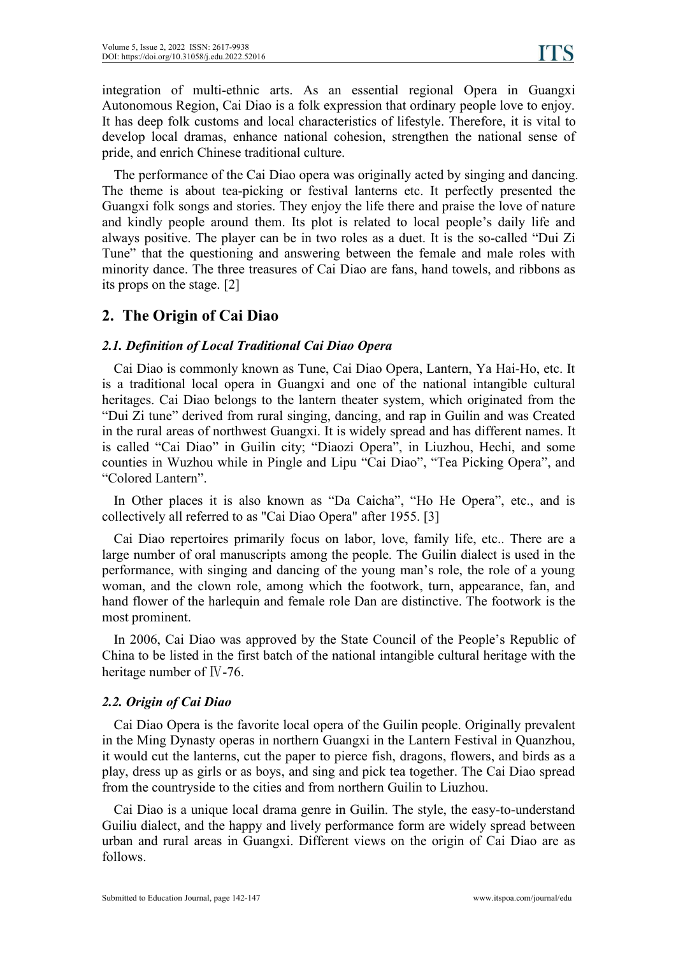integration of multi-ethnic arts. As an essential regional Opera in Guangxi Autonomous Region, Cai Diao is a folk expression that ordinary people love to enjoy. It has deep folk customs and local characteristics of lifestyle. Therefore, it is vitalto develop local dramas, enhance national cohesion, strengthen the national sense of pride, and enrich Chinese traditional culture.

The performance of the Cai Diao opera was originally acted by singing and dancing. The theme is about tea-picking or festival lanterns etc. It perfectly presented the Guangxi folk songs and stories. They enjoy the life there and praise the love of nature and kindly people around them. Its plot is related to local people's daily life and always positive. The player can be in two roles as a duet. It is the so-called "Dui Zi Tune" that the questioning and answering between the female and male roles with minority dance. The three treasures of Cai Diao are fans, hand towels, and ribbons as its props on the stage. [2]

# **2. The Origin of Cai Diao**

### *2.1. Definition of Local Traditional Cai Diao Opera*

Cai Diao is commonly known as Tune, Cai Diao Opera, Lantern, Ya Hai-Ho, etc. It is a traditional local opera in Guangxi and one of the national intangible cultural heritages. Cai Diao belongs to the lantern theater system, which originated from the "Dui Zi tune" derived from rural singing, dancing, and rap in Guilin and was Created in the rural areas of northwest Guangxi. It is widely spread and has different names. It is called "Cai Diao" in Guilin city; "Diaozi Opera", in Liuzhou, Hechi, and some counties in Wuzhou while in Pingle and Lipu "Cai Diao", "Tea Picking Opera", and "Colored Lantern".

In Other places it is also known as "Da Caicha", "Ho He Opera", etc., and is collectively all referred to as"Cai Diao Opera" after 1955. [3]

Cai Diao repertoires primarily focus on labor, love, family life, etc.. There are a large number of oral manuscripts among the people.The Guilin dialect is used in the performance, with singing and dancing of the young man's role, the role of a young woman, and the clown role, among which the footwork, turn, appearance, fan, and hand flower of the harlequin and female role Dan are distinctive. The footwork is the most prominent.

In 2006, Cai Diao was approved by the State Council of the People's Republic of China to be listed in the first batch of the national intangible cultural heritage with the heritage number of Ⅳ-76.

### *2.2. Origin of Cai Diao*

Cai Diao Opera is the favorite local opera of the Guilin people. Originally prevalent in the Ming Dynasty operas in northern Guangxi in the Lantern Festival in Quanzhou, it would cut the lanterns, cut the paper to pierce fish, dragons, flowers, and birds as a play, dress up as girls oras boys, and sing and pick tea together. The Cai Diao spread from the countryside to the cities and from northern Guilin to Liuzhou.

Cai Diao is a unique local drama genre in Guilin. The style, the easy-to-understand Guiliu dialect, and the happy and lively performance form are widely spread between urban and rural areas in Guangxi. Different views on the origin of Cai Diao are as follows.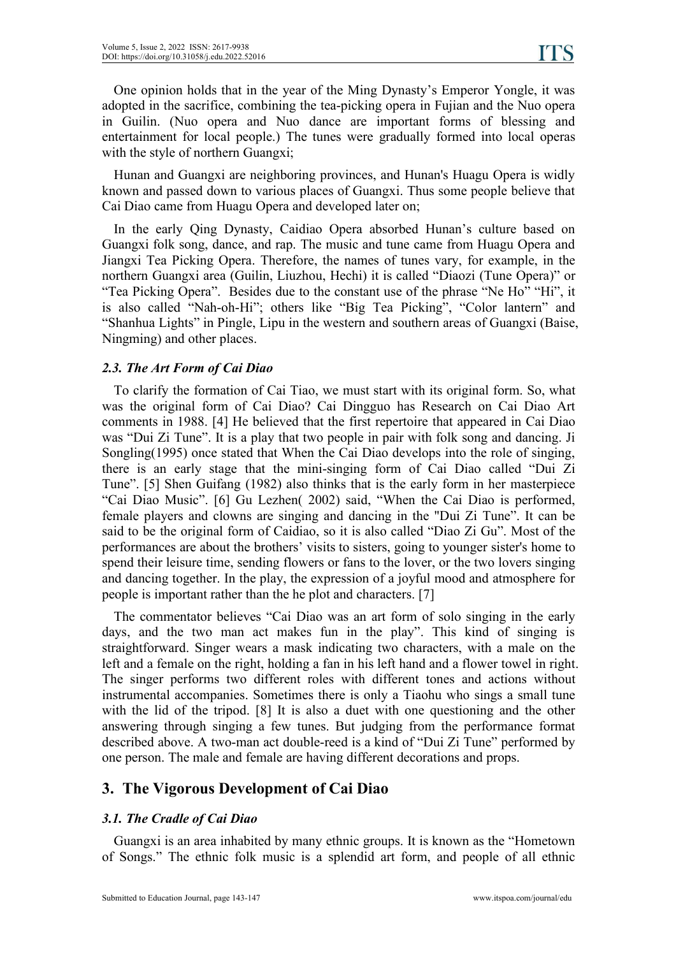One opinion holds that in the year of the Ming Dynasty's Emperor Yongle, it was adopted in the sacrifice, combining the tea-picking opera in Fujian and the Nuo opera in Guilin. (Nuo opera and Nuo dance are important forms of blessing and entertainment for local people.) The tunes were gradually formed into local operas with the style of northern Guangxi;

Hunan and Guangxi are neighboring provinces, and Hunan's Huagu Opera is widly known and passed down to various places of Guangxi. Thus some people believe that Cai Diao came from Huagu Opera and developed later on;

In the early Qing Dynasty, Caidiao Opera absorbed Hunan's culture based on Guangxi folk song, dance, and rap. The music and tune came from Huagu Opera and Jiangxi Tea Picking Opera. Therefore, the names of tunes vary, for example, in the northern Guangxi area (Guilin, Liuzhou, Hechi) it is called "Diaozi (Tune Opera)" or "Tea Picking Opera". Besides due to the constant use of the phrase "Ne Ho" "Hi", it is also called "Nah-oh-Hi"; others like "Big Tea Picking", "Color lantern" and "Shanhua Lights" in Pingle, Lipu in the western and southern areas of Guangxi (Baise, Ningming) and other places.

#### *2.3. The Art Form of Cai Diao*

To clarify the formation of Cai Tiao, we must start with its original form. So, what was the original form of Cai Diao? Cai Dingguo has Research on Cai Diao Art comments in 1988. [4] He believed that the first repertoire that appeared in Cai Diao was "Dui Zi Tune". It is a play that two people in pair with folk song and dancing. Ji Songling(1995) once stated that When the Cai Diao develops into the role of singing, there is an early stage that the mini-singing form of Cai Diao called "Dui Zi Tune". [5] Shen Guifang (1982) also thinks that is the early form in her masterpiece "Cai Diao Music". [6] Gu Lezhen( 2002) said, "When the Cai Diao is performed, female players and clowns are singing and dancing in the "Dui Zi Tune". It can be said to be the original form of Caidiao, so it is also called "Diao Zi Gu". Most of the performances are about the brothers' visits to sisters, going to younger sister's home to spend their leisure time, sending flowers or fans to the lover, or the two lovers singing and dancing together. In the play, the expression of a joyful mood and atmosphere for people is important rather than the he plot and characters. [7]

The commentator believes "Cai Diao was an art form of solo singing in the early days, and the two man act makes fun in the play". This kind of singing is straightforward. Singer wears a mask indicating two characters, with a male on the left and a female on the right, holding a fan in his left hand and a flower towel in right. The singer performs two different roles with different tones and actions without instrumental accompanies. Sometimes there is only a Tiaohu who sings a small tune with the lid of the tripod. [8] It is also a duet with one questioning and the other answering through singing a few tunes. But judging from the performance format described above. A two-man act double-reed is a kind of "Dui Zi Tune" performed by one person. The male and female are having different decorations and props.

## **3. The Vigorous Development of Cai Diao**

#### *3.1. The Cradle of Cai Diao*

Guangxi is an area inhabited by many ethnic groups. It is known as the "Hometown of Songs." The ethnic folk music is a splendid art form, and people of all ethnic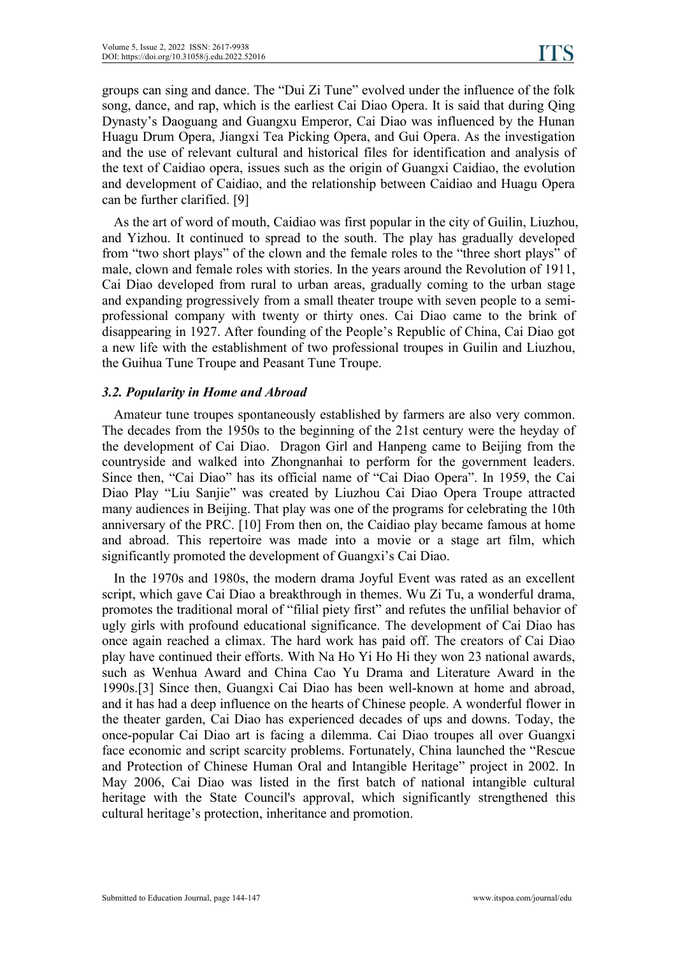groups can sing and dance. The "Dui Zi Tune" evolved under the influence of the folk song, dance, and rap, which is the earliest Cai Diao Opera. It is said that during Qing Dynasty's Daoguang and Guangxu Emperor, Cai Diao was influenced by the Hunan Huagu Drum Opera, Jiangxi Tea Picking Opera, and Gui Opera. As the investigation and the use of relevant cultural and historical files for identification and analysis of the text of Caidiao opera, issues such as the origin of Guangxi Caidiao, the evolution and development of Caidiao, and the relationship between Caidiao and Huagu Opera can be further clarified. [9]

As the art of word of mouth, Caidiao was first popular in the city of Guilin, Liuzhou, and Yizhou. It continued to spread to the south. The play has gradually developed from "two short plays" of the clown and the female roles to the "three short plays" of male, clown and female roles with stories. In the years around the Revolution of 1911, Cai Diao developed from rural to urban areas, gradually coming to the urban stage and expanding progressively from a small theater troupe with seven people to a semi professional company with twenty or thirty ones. Cai Diao came to the brink of disappearing in 1927. After founding of the People's Republic of China, Cai Diao got a new life with the establishment of two professional troupes in Guilin and Liuzhou, the Guihua Tune Troupe and Peasant Tune Troupe.

#### *3.2. Popularity in Home and Abroad*

Amateur tune troupes spontaneously established by farmers are also very common. The decades from the 1950s to the beginning of the 21st century were the heyday of the development of Cai Diao. Dragon Girl and Hanpeng came to Beijing from the countryside and walked into Zhongnanhai to perform for the government leaders. Since then, "Cai Diao" has its official name of "Cai Diao Opera". In 1959, the Cai Diao Play "Liu Sanjie" was created by Liuzhou Cai Diao Opera Troupe attracted many audiences in Beijing. That play was one of the programs for celebrating the 10th anniversary of the PRC. [10] From then on, the Caidiao play became famous at home and abroad. This repertoire was made into a movie or a stage art film, which significantly promoted the development of Guangxi's Cai Diao.

In the 1970s and 1980s, the modern drama Joyful Event was rated as an excellent script, which gave Cai Diao a breakthrough in themes. Wu Zi Tu, a wonderful drama, promotes the traditional moral of "filial piety first" and refutes the unfilialbehavior of ugly girls with profound educational significance. The development of Cai Diao has once again reached a climax. The hard work has paid off. The creators of Cai Diao play have continued their efforts. With Na Ho Yi Ho Hi they won 23 national awards, such as Wenhua Award and China Cao Yu Drama and Literature Award in the 1990s.[3] Since then, Guangxi Cai Diao has been well-known at home and abroad, and it has had a deep influence on the hearts of Chinese people. A wonderful flower in the theater garden, Cai Diao has experienced decades of ups and downs. Today, the once-popular Cai Diao art is facing a dilemma. Cai Diao troupes all over Guangxi face economic and script scarcity problems. Fortunately, China launched the "Rescue and Protection of Chinese Human Oral and Intangible Heritage" projectin 2002. In May 2006, Cai Diao was listed in the first batch of national intangible cultural heritage with the State Council's approval, which significantly strengthened this cultural heritage's protection, inheritance and promotion.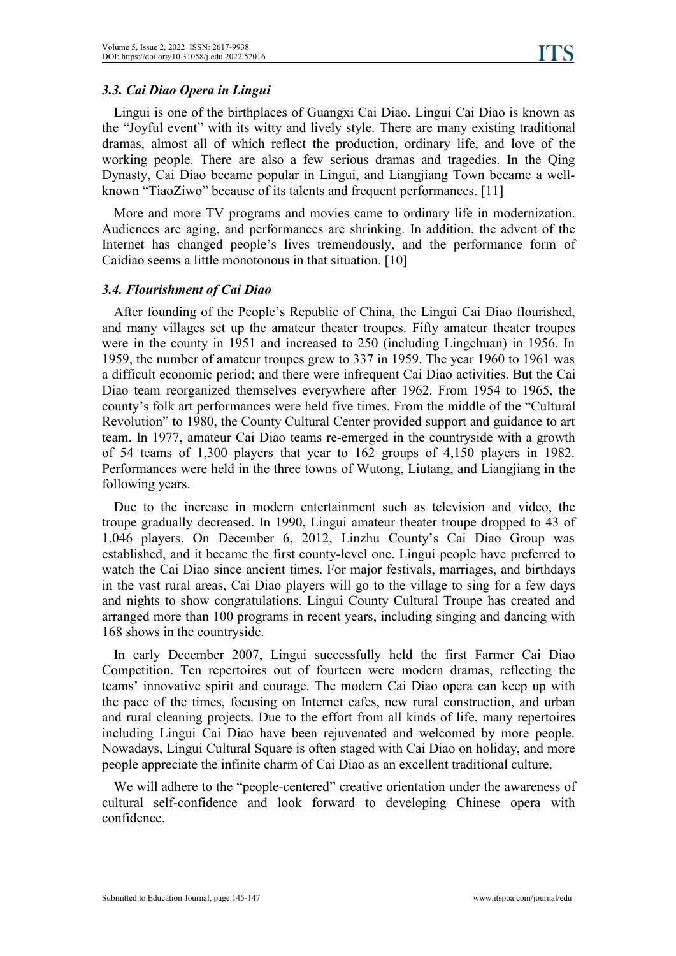### *3.3. Cai Diao Opera in Lingui*

Lingui is one of the birthplaces of Guangxi Cai Diao. Lingui Cai Diao is known as the "Joyful event" with its witty and lively style. There are many existing traditional dramas, almost all of which reflect the production, ordinary life, and love of the working people. There are also a few serious dramas and tragedies. In the Qing Dynasty, Cai Diao became popular in Lingui, and Liangjiang Town became a well known "TiaoZiwo" because of its talents and frequent performances. [11]

More and more TV programs and movies came to ordinary life in modernization. Audiences are aging, and performances are shrinking. In addition, the advent of the Internet has changed people's lives tremendously, and the performance form of Caidiao seems a little monotonous in that situation. [10]

#### *3.4. Flourishment of Cai Diao*

After founding of the People's Republic of China, the Lingui Cai Diao flourished, and many villages set up the amateur theater troupes. Fifty amateur theater troupes were in the county in 1951 and increased to 250 (including Lingchuan) in 1956. In 1959, the number of amateur troupes grew to 337 in 1959. The year 1960 to 1961 was a difficult economic period;and there were infrequent Cai Diao activities. But the Cai Diao team reorganized themselves everywhere after 1962. From 1954 to 1965, the county's folk art performances were held five times. From the middle of the "Cultural Revolution" to 1980, the County Cultural Center provided support and guidance to art team. In 1977, amateur Cai Diao teams re-emerged in the countryside with a growth of 54 teams of 1,300 players that year to 162 groups of 4,150 players in 1982. Performances were held in the three towns of Wutong, Liutang, and Liangjiang in the following years.

Due to the increase in modern entertainment such as television and video, the troupe gradually decreased. In 1990, Lingui amateur theater troupe dropped to 43 of 1,046 players. On December 6, 2012, Linzhu County's Cai Diao Group was established, and it became the first county-level one. Lingui people have preferred to watch the Cai Diao since ancient times. For major festivals, marriages, and birthdays in the vast rural areas, Cai Diao players will go to the village to sing for a few days and nights to show congratulations. Lingui County Cultural Troupe has created and arranged more than 100 programs in recent years, including singing and dancing with 168 shows in the countryside.

In early December 2007, Lingui successfully held the first Farmer Cai Diao Competition. Ten repertoires out of fourteen were modern dramas, reflecting the teams' innovative spirit and courage. The modern Cai Diao opera can keep up with the pace of the times, focusing on Internet cafes, new rural construction, and urban and rural cleaning projects. Due to the effort from all kinds of life, many repertoires including Lingui Cai Diao have been rejuvenated and welcomed by more people. Nowadays, Lingui Cultural Square is often staged with Cai Diao on holiday, and more people appreciate the infinite charm of Cai Diao as an excellent traditional culture.

We will adhere to the "people-centered" creative orientation under the awareness of cultural self-confidence and look forward to developing Chinese opera with confidence.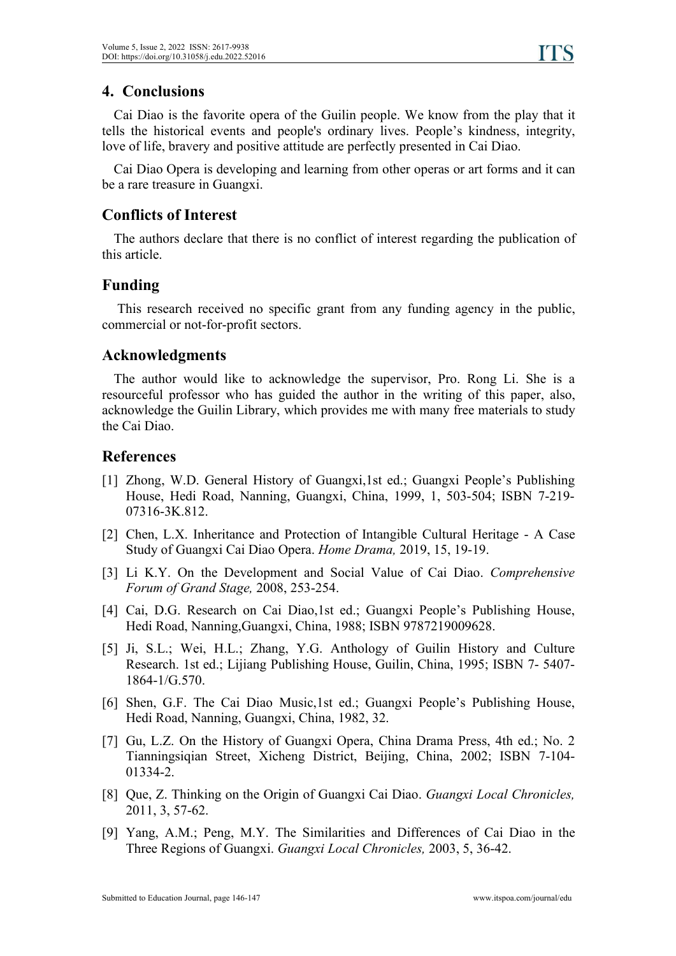# **4. Conclusions**

Cai Diao is the favorite opera of the Guilin people. We know from the play that it tells the historical events and people's ordinary lives. People's kindness, integrity, love of life, bravery and positive attitude are perfectly presented in Cai Diao.

Cai Diao Opera is developing and learning from other operas orart forms and it can be a rare treasure in Guangxi.

## **Conflicts of Interest**

The authors declare that there is no conflict of interest regarding the publication of this article.

## **Funding**

This research received no specific grant from any funding agency in the public, commercial or not-for-profit sectors.

### **Acknowledgments**

The author would like to acknowledge the supervisor, Pro. Rong Li. She is a resourceful professor who has guided the author in the writing of this paper, also, acknowledge the Guilin Library, which provides me with many free materials to study the Cai Diao.

## **References**

- [1] Zhong, W.D. General History of Guangxi,1st ed.; Guangxi People's Publishing House, Hedi Road, Nanning, Guangxi, China, 1999, 1, 503-504; ISBN 7-219- 07316-3K.812.
- [2] Chen, L.X. Inheritance and Protection of Intangible Cultural Heritage A Case Study of Guangxi Cai Diao Opera. *Home Drama,* 2019, 15, 19-19.
- [3] Li K.Y. On the Development and Social Value of Cai Diao. *Comprehensive Forum of Grand Stage,* 2008, 253-254.
- [4] Cai, D.G. Research on Cai Diao,1st ed.; Guangxi People's Publishing House, Hedi Road, Nanning,Guangxi, China, 1988; ISBN 9787219009628.
- [5] Ji, S.L.; Wei, H.L.; Zhang, Y.G. Anthology of Guilin History and Culture Research. 1st ed.; Lijiang Publishing House, Guilin, China, 1995; ISBN 7- 5407- 1864-1/G.570.
- [6] Shen, G.F. The Cai Diao Music,1st ed.; Guangxi People's Publishing House, Hedi Road, Nanning, Guangxi, China, 1982, 32.
- [7] Gu, L.Z. On the History of Guangxi Opera, China Drama Press, 4th ed.; No. 2 Tianningsiqian Street, Xicheng District, Beijing, China, 2002; ISBN 7-104- 01334-2.
- [8] Que, Z. Thinking on the Origin of Guangxi Cai Diao. *Guangxi Local Chronicles,* 2011, 3, 57-62.
- [9] Yang, A.M.; Peng, M.Y. The Similarities and Differences of Cai Diao in the Three Regions ofGuangxi. *Guangxi Local Chronicles,* 2003, 5, 36-42.